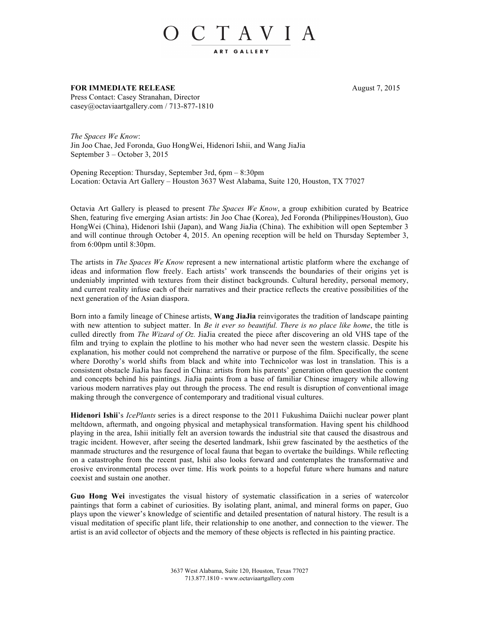## O C T A V I A

## **FOR IMMEDIATE RELEASE** August 7, 2015 Press Contact: Casey Stranahan, Director casey@octaviaartgallery.com / 713-877-1810

*The Spaces We Know*: Jin Joo Chae, Jed Foronda, Guo HongWei, Hidenori Ishii, and Wang JiaJia September 3 – October 3, 2015

Opening Reception: Thursday, September 3rd, 6pm – 8:30pm Location: Octavia Art Gallery – Houston 3637 West Alabama, Suite 120, Houston, TX 77027

Octavia Art Gallery is pleased to present *The Spaces We Know*, a group exhibition curated by Beatrice Shen, featuring five emerging Asian artists: Jin Joo Chae (Korea), Jed Foronda (Philippines/Houston), Guo HongWei (China), Hidenori Ishii (Japan), and Wang JiaJia (China). The exhibition will open September 3 and will continue through October 4, 2015. An opening reception will be held on Thursday September 3, from 6:00pm until 8:30pm.

The artists in *The Spaces We Know* represent a new international artistic platform where the exchange of ideas and information flow freely. Each artists' work transcends the boundaries of their origins yet is undeniably imprinted with textures from their distinct backgrounds. Cultural heredity, personal memory, and current reality infuse each of their narratives and their practice reflects the creative possibilities of the next generation of the Asian diaspora.

Born into a family lineage of Chinese artists, **Wang JiaJia** reinvigorates the tradition of landscape painting with new attention to subject matter. In *Be it ever so beautiful. There is no place like home*, the title is culled directly from *The Wizard of Oz.* JiaJia created the piece after discovering an old VHS tape of the film and trying to explain the plotline to his mother who had never seen the western classic. Despite his explanation, his mother could not comprehend the narrative or purpose of the film. Specifically, the scene where Dorothy's world shifts from black and white into Technicolor was lost in translation. This is a consistent obstacle JiaJia has faced in China: artists from his parents' generation often question the content and concepts behind his paintings. JiaJia paints from a base of familiar Chinese imagery while allowing various modern narratives play out through the process. The end result is disruption of conventional image making through the convergence of contemporary and traditional visual cultures.

**Hidenori Ishii**'s *IcePlants* series is a direct response to the 2011 Fukushima Daiichi nuclear power plant meltdown, aftermath, and ongoing physical and metaphysical transformation. Having spent his childhood playing in the area, Ishii initially felt an aversion towards the industrial site that caused the disastrous and tragic incident. However, after seeing the deserted landmark, Ishii grew fascinated by the aesthetics of the manmade structures and the resurgence of local fauna that began to overtake the buildings. While reflecting on a catastrophe from the recent past, Ishii also looks forward and contemplates the transformative and erosive environmental process over time. His work points to a hopeful future where humans and nature coexist and sustain one another.

**Guo Hong Wei** investigates the visual history of systematic classification in a series of watercolor paintings that form a cabinet of curiosities. By isolating plant, animal, and mineral forms on paper, Guo plays upon the viewer's knowledge of scientific and detailed presentation of natural history. The result is a visual meditation of specific plant life, their relationship to one another, and connection to the viewer. The artist is an avid collector of objects and the memory of these objects is reflected in his painting practice.